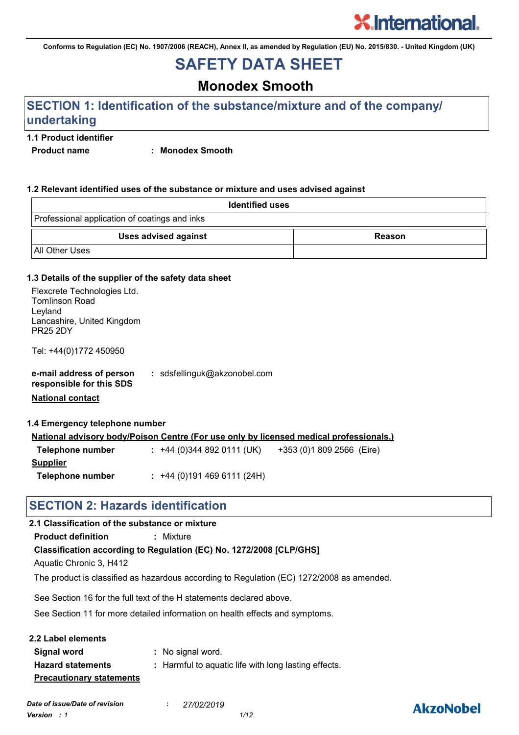**Conforms to Regulation (EC) No. 1907/2006 (REACH), Annex II, as amended by Regulation (EU) No. 2015/830. - United Kingdom (UK)**

# **SAFETY DATA SHEET**

# **Monodex Smooth**

### **SECTION 1: Identification of the substance/mixture and of the company/ undertaking**

#### **1.1 Product identifier**

**Product name : Monodex Smooth**

#### **1.2 Relevant identified uses of the substance or mixture and uses advised against**

| <b>Identified uses</b>                        |        |  |  |  |
|-----------------------------------------------|--------|--|--|--|
| Professional application of coatings and inks |        |  |  |  |
| Uses advised against                          | Reason |  |  |  |
| I All Other Uses                              |        |  |  |  |

#### **1.3 Details of the supplier of the safety data sheet**

| Flexcrete Technologies Ltd.                   |                                                                                               |
|-----------------------------------------------|-----------------------------------------------------------------------------------------------|
| <b>Tomlinson Road</b>                         |                                                                                               |
| Leyland                                       |                                                                                               |
| Lancashire, United Kingdom<br><b>PR25 2DY</b> |                                                                                               |
|                                               |                                                                                               |
| Tel: +44(0)1772 450950                        |                                                                                               |
|                                               |                                                                                               |
| e-mail address of person                      | : sdsfellinguk@akzonobel.com                                                                  |
| responsible for this SDS                      |                                                                                               |
|                                               |                                                                                               |
| <b>National contact</b>                       |                                                                                               |
|                                               |                                                                                               |
| 1.4 Emergency telephone number                |                                                                                               |
|                                               | <u>National advisory body/Poison Centre (For use only by licensed medical professionals.)</u> |
| Telephone number                              | : +44 (0) 344 892 0111 (UK) $+353$ (0) 1809 2566 (Eire)                                       |
|                                               |                                                                                               |
| <b>Supplier</b>                               |                                                                                               |
| Telephone number                              | $: +44(0)1914696111(24H)$                                                                     |
|                                               |                                                                                               |

### **SECTION 2: Hazards identification**

#### **2.1 Classification of the substance or mixture**

**Product definition :** Mixture

**Classification according to Regulation (EC) No. 1272/2008 [CLP/GHS]**

Aquatic Chronic 3, H412

The product is classified as hazardous according to Regulation (EC) 1272/2008 as amended.

See Section 16 for the full text of the H statements declared above.

See Section 11 for more detailed information on health effects and symptoms.

| 2.2 Label elements              |                                                      |
|---------------------------------|------------------------------------------------------|
| Signal word                     | : No signal word.                                    |
| <b>Hazard statements</b>        | : Harmful to aquatic life with long lasting effects. |
| <b>Precautionary statements</b> |                                                      |

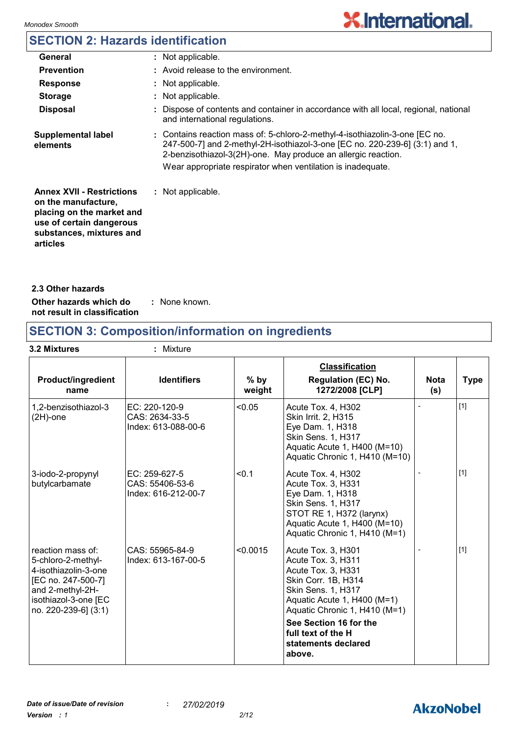# **SECTION 2: Hazards identification**

| General                                                                                                                                                  | : Not applicable.                                                                                                                                                                                                                                                                          |
|----------------------------------------------------------------------------------------------------------------------------------------------------------|--------------------------------------------------------------------------------------------------------------------------------------------------------------------------------------------------------------------------------------------------------------------------------------------|
| <b>Prevention</b>                                                                                                                                        | : Avoid release to the environment.                                                                                                                                                                                                                                                        |
| <b>Response</b>                                                                                                                                          | : Not applicable.                                                                                                                                                                                                                                                                          |
| <b>Storage</b>                                                                                                                                           | : Not applicable.                                                                                                                                                                                                                                                                          |
| <b>Disposal</b>                                                                                                                                          | : Dispose of contents and container in accordance with all local, regional, national<br>and international regulations.                                                                                                                                                                     |
| <b>Supplemental label</b><br>elements                                                                                                                    | : Contains reaction mass of: 5-chloro-2-methyl-4-isothiazolin-3-one [EC no.<br>247-500-7] and 2-methyl-2H-isothiazol-3-one [EC no. 220-239-6] (3:1) and 1,<br>2-benzisothiazol-3(2H)-one. May produce an allergic reaction.<br>Wear appropriate respirator when ventilation is inadequate. |
| <b>Annex XVII - Restrictions</b><br>on the manufacture,<br>placing on the market and<br>use of certain dangerous<br>substances, mixtures and<br>articles | : Not applicable.                                                                                                                                                                                                                                                                          |

|  | 2.3 Other hazards |  |
|--|-------------------|--|
|--|-------------------|--|

**Other hazards which do : not result in classification** : None known.

# **SECTION 3: Composition/information on ingredients**

| 3.2 Mixtures                                                                                                                                              | : Mixture                                               |                  |                                                                                                                                                                                                                                                              |                    |             |
|-----------------------------------------------------------------------------------------------------------------------------------------------------------|---------------------------------------------------------|------------------|--------------------------------------------------------------------------------------------------------------------------------------------------------------------------------------------------------------------------------------------------------------|--------------------|-------------|
| <b>Product/ingredient</b><br>name                                                                                                                         | <b>Identifiers</b>                                      | $%$ by<br>weight | <b>Classification</b><br><b>Regulation (EC) No.</b><br>1272/2008 [CLP]                                                                                                                                                                                       | <b>Nota</b><br>(s) | <b>Type</b> |
| 1,2-benzisothiazol-3<br>$(2H)$ -one                                                                                                                       | EC: 220-120-9<br>CAS: 2634-33-5<br>Index: 613-088-00-6  | < 0.05           | Acute Tox. 4, H302<br>Skin Irrit. 2, H315<br>Eye Dam. 1, H318<br>Skin Sens. 1, H317<br>Aquatic Acute 1, H400 (M=10)<br>Aquatic Chronic 1, H410 (M=10)                                                                                                        |                    | $[1]$       |
| 3-iodo-2-propynyl<br>butylcarbamate                                                                                                                       | EC: 259-627-5<br>CAS: 55406-53-6<br>Index: 616-212-00-7 | < 0.1            | Acute Tox. 4, H302<br>Acute Tox. 3, H331<br>Eye Dam. 1, H318<br>Skin Sens. 1, H317<br>STOT RE 1, H372 (larynx)<br>Aquatic Acute 1, H400 (M=10)<br>Aquatic Chronic 1, H410 (M=1)                                                                              |                    | $[1]$       |
| reaction mass of:<br>5-chloro-2-methyl-<br>4-isothiazolin-3-one<br>[EC no. 247-500-7]<br>and 2-methyl-2H-<br>isothiazol-3-one [EC<br>no. 220-239-6] (3:1) | CAS: 55965-84-9<br>Index: 613-167-00-5                  | < 0.0015         | Acute Tox. 3, H301<br>Acute Tox. 3, H311<br>Acute Tox. 3, H331<br>Skin Corr. 1B, H314<br>Skin Sens. 1, H317<br>Aquatic Acute 1, H400 (M=1)<br>Aquatic Chronic 1, H410 (M=1)<br>See Section 16 for the<br>full text of the H<br>statements declared<br>above. |                    | $[1]$       |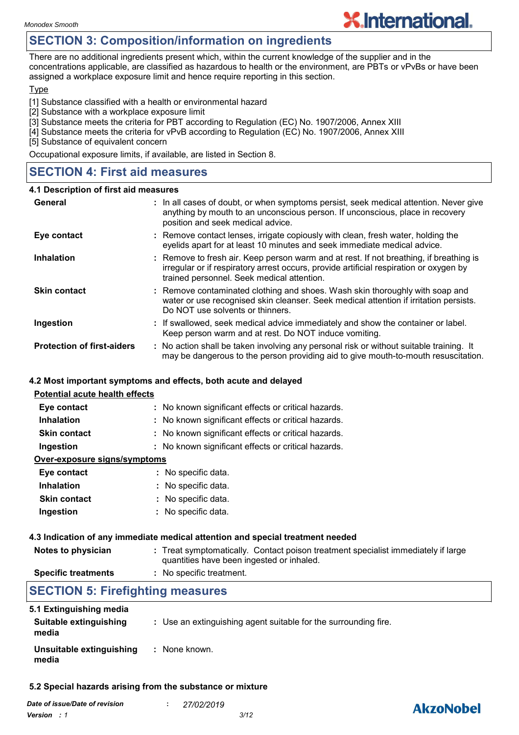### **SECTION 3: Composition/information on ingredients**

There are no additional ingredients present which, within the current knowledge of the supplier and in the concentrations applicable, are classified as hazardous to health or the environment, are PBTs or vPvBs or have been assigned a workplace exposure limit and hence require reporting in this section.

#### **Type**

[1] Substance classified with a health or environmental hazard

- [2] Substance with a workplace exposure limit
- [3] Substance meets the criteria for PBT according to Regulation (EC) No. 1907/2006, Annex XIII
- [4] Substance meets the criteria for vPvB according to Regulation (EC) No. 1907/2006, Annex XIII

[5] Substance of equivalent concern

Occupational exposure limits, if available, are listed in Section 8.

### **SECTION 4: First aid measures**

#### **4.1 Description of first aid measures**

| General                           | : In all cases of doubt, or when symptoms persist, seek medical attention. Never give<br>anything by mouth to an unconscious person. If unconscious, place in recovery<br>position and seek medical advice.                    |
|-----------------------------------|--------------------------------------------------------------------------------------------------------------------------------------------------------------------------------------------------------------------------------|
| Eye contact                       | : Remove contact lenses, irrigate copiously with clean, fresh water, holding the<br>eyelids apart for at least 10 minutes and seek immediate medical advice.                                                                   |
| <b>Inhalation</b>                 | : Remove to fresh air. Keep person warm and at rest. If not breathing, if breathing is<br>irregular or if respiratory arrest occurs, provide artificial respiration or oxygen by<br>trained personnel. Seek medical attention. |
| <b>Skin contact</b>               | : Remove contaminated clothing and shoes. Wash skin thoroughly with soap and<br>water or use recognised skin cleanser. Seek medical attention if irritation persists.<br>Do NOT use solvents or thinners.                      |
| Ingestion                         | : If swallowed, seek medical advice immediately and show the container or label.<br>Keep person warm and at rest. Do NOT induce vomiting.                                                                                      |
| <b>Protection of first-aiders</b> | : No action shall be taken involving any personal risk or without suitable training. It<br>may be dangerous to the person providing aid to give mouth-to-mouth resuscitation.                                                  |

#### **4.2 Most important symptoms and effects, both acute and delayed**

#### **Potential acute health effects**

| Eye contact                  | : No known significant effects or critical hazards. |
|------------------------------|-----------------------------------------------------|
| <b>Inhalation</b>            | : No known significant effects or critical hazards. |
| <b>Skin contact</b>          | : No known significant effects or critical hazards. |
| Ingestion                    | : No known significant effects or critical hazards. |
| Over-exposure signs/symptoms |                                                     |
| Eye contact                  | : No specific data.                                 |
| <b>Inhalation</b>            | : No specific data.                                 |
| <b>Skin contact</b>          | : No specific data.                                 |
| Ingestion                    | : No specific data.                                 |

#### **4.3 Indication of any immediate medical attention and special treatment needed**

| Notes to physician         | : Treat symptomatically. Contact poison treatment specialist immediately if large<br>quantities have been ingested or inhaled. |
|----------------------------|--------------------------------------------------------------------------------------------------------------------------------|
| <b>Specific treatments</b> | : No specific treatment.                                                                                                       |

## **SECTION 5: Firefighting measures**

| 5.1 Extinguishing media           |                                                                 |
|-----------------------------------|-----------------------------------------------------------------|
| Suitable extinguishing<br>media   | : Use an extinguishing agent suitable for the surrounding fire. |
| Unsuitable extinguishing<br>media | : None known.                                                   |

#### **5.2 Special hazards arising from the substance or mixture**

| Date of issue/Date of revision | 27/02/2019 |      |
|--------------------------------|------------|------|
| <b>Version</b> : 1             |            | 3/12 |

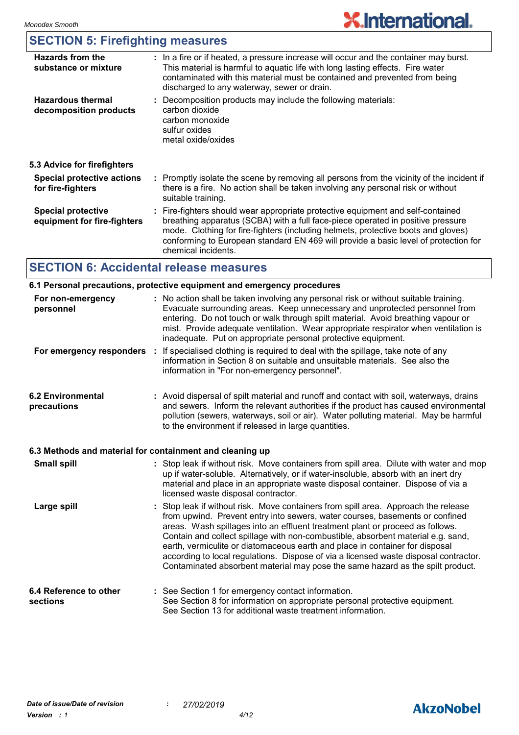### **SECTION 5: Firefighting measures**

| <b>Hazards from the</b><br>substance or mixture          | : In a fire or if heated, a pressure increase will occur and the container may burst.<br>This material is harmful to aquatic life with long lasting effects. Fire water<br>contaminated with this material must be contained and prevented from being<br>discharged to any waterway, sewer or drain.                                                                  |
|----------------------------------------------------------|-----------------------------------------------------------------------------------------------------------------------------------------------------------------------------------------------------------------------------------------------------------------------------------------------------------------------------------------------------------------------|
| <b>Hazardous thermal</b><br>decomposition products       | : Decomposition products may include the following materials:<br>carbon dioxide<br>carbon monoxide<br>sulfur oxides<br>metal oxide/oxides                                                                                                                                                                                                                             |
| 5.3 Advice for firefighters                              |                                                                                                                                                                                                                                                                                                                                                                       |
| <b>Special protective actions</b><br>for fire-fighters   | : Promptly isolate the scene by removing all persons from the vicinity of the incident if<br>there is a fire. No action shall be taken involving any personal risk or without<br>suitable training.                                                                                                                                                                   |
| <b>Special protective</b><br>equipment for fire-fighters | : Fire-fighters should wear appropriate protective equipment and self-contained<br>breathing apparatus (SCBA) with a full face-piece operated in positive pressure<br>mode. Clothing for fire-fighters (including helmets, protective boots and gloves)<br>conforming to European standard EN 469 will provide a basic level of protection for<br>chemical incidents. |

# **SECTION 6: Accidental release measures**

| 6.1 Personal precautions, protective equipment and emergency procedures |                                                                                                                                                                                                                                                                                                                                                                                                                 |  |  |  |  |
|-------------------------------------------------------------------------|-----------------------------------------------------------------------------------------------------------------------------------------------------------------------------------------------------------------------------------------------------------------------------------------------------------------------------------------------------------------------------------------------------------------|--|--|--|--|
| For non-emergency<br>personnel                                          | : No action shall be taken involving any personal risk or without suitable training.<br>Evacuate surrounding areas. Keep unnecessary and unprotected personnel from<br>entering. Do not touch or walk through spilt material. Avoid breathing vapour or<br>mist. Provide adequate ventilation. Wear appropriate respirator when ventilation is<br>inadequate. Put on appropriate personal protective equipment. |  |  |  |  |
|                                                                         | For emergency responders : If specialised clothing is required to deal with the spillage, take note of any<br>information in Section 8 on suitable and unsuitable materials. See also the<br>information in "For non-emergency personnel".                                                                                                                                                                      |  |  |  |  |
| <b>6.2 Environmental</b><br>precautions                                 | : Avoid dispersal of spilt material and runoff and contact with soil, waterways, drains<br>and sewers. Inform the relevant authorities if the product has caused environmental<br>pollution (sewers, waterways, soil or air). Water polluting material. May be harmful<br>to the environment if released in large quantities.                                                                                   |  |  |  |  |
|                                                                         |                                                                                                                                                                                                                                                                                                                                                                                                                 |  |  |  |  |

#### **6.3 Methods and material for containment and cleaning up**

| <b>Small spill</b>                 | : Stop leak if without risk. Move containers from spill area. Dilute with water and mop<br>up if water-soluble. Alternatively, or if water-insoluble, absorb with an inert dry<br>material and place in an appropriate waste disposal container. Dispose of via a<br>licensed waste disposal contractor.                                                                                                                                                                                                                                                                                          |
|------------------------------------|---------------------------------------------------------------------------------------------------------------------------------------------------------------------------------------------------------------------------------------------------------------------------------------------------------------------------------------------------------------------------------------------------------------------------------------------------------------------------------------------------------------------------------------------------------------------------------------------------|
| Large spill                        | : Stop leak if without risk. Move containers from spill area. Approach the release<br>from upwind. Prevent entry into sewers, water courses, basements or confined<br>areas. Wash spillages into an effluent treatment plant or proceed as follows.<br>Contain and collect spillage with non-combustible, absorbent material e.g. sand,<br>earth, vermiculite or diatomaceous earth and place in container for disposal<br>according to local regulations. Dispose of via a licensed waste disposal contractor.<br>Contaminated absorbent material may pose the same hazard as the spilt product. |
| 6.4 Reference to other<br>sections | : See Section 1 for emergency contact information.<br>See Section 8 for information on appropriate personal protective equipment.<br>See Section 13 for additional waste treatment information.                                                                                                                                                                                                                                                                                                                                                                                                   |

# **AkzoNobel**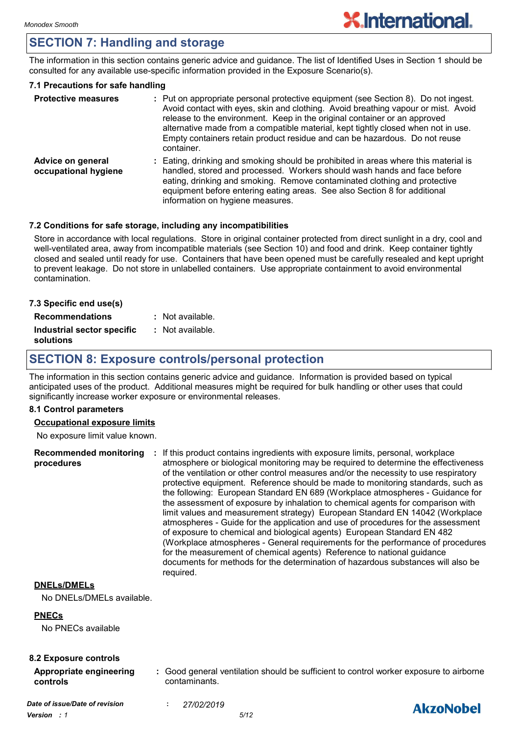# **SECTION 7: Handling and storage**

The information in this section contains generic advice and guidance. The list of Identified Uses in Section 1 should be consulted for any available use-specific information provided in the Exposure Scenario(s).

#### **7.1 Precautions for safe handling**

| <b>Protective measures</b>                | : Put on appropriate personal protective equipment (see Section 8). Do not ingest.<br>Avoid contact with eyes, skin and clothing. Avoid breathing vapour or mist. Avoid<br>release to the environment. Keep in the original container or an approved<br>alternative made from a compatible material, kept tightly closed when not in use.<br>Empty containers retain product residue and can be hazardous. Do not reuse<br>container. |
|-------------------------------------------|---------------------------------------------------------------------------------------------------------------------------------------------------------------------------------------------------------------------------------------------------------------------------------------------------------------------------------------------------------------------------------------------------------------------------------------|
| Advice on general<br>occupational hygiene | : Eating, drinking and smoking should be prohibited in areas where this material is<br>handled, stored and processed. Workers should wash hands and face before<br>eating, drinking and smoking. Remove contaminated clothing and protective<br>equipment before entering eating areas. See also Section 8 for additional<br>information on hygiene measures.                                                                         |

#### **7.2 Conditions for safe storage, including any incompatibilities**

Store in accordance with local regulations. Store in original container protected from direct sunlight in a dry, cool and well-ventilated area, away from incompatible materials (see Section 10) and food and drink. Keep container tightly closed and sealed until ready for use. Containers that have been opened must be carefully resealed and kept upright to prevent leakage. Do not store in unlabelled containers. Use appropriate containment to avoid environmental contamination.

| 7.3 Specific end use(s)                 |                  |
|-----------------------------------------|------------------|
| <b>Recommendations</b>                  | : Not available. |
| Industrial sector specific<br>solutions | : Not available. |

### **SECTION 8: Exposure controls/personal protection**

The information in this section contains generic advice and guidance. Information is provided based on typical anticipated uses of the product. Additional measures might be required for bulk handling or other uses that could significantly increase worker exposure or environmental releases.

#### **8.1 Control parameters**

#### **Occupational exposure limits**

No exposure limit value known.

**Recommended monitoring : If this product contains ingredients with exposure limits, personal, workplace procedures** atmosphere or biological monitoring may be required to determine the effectiveness of the ventilation or other control measures and/or the necessity to use respiratory protective equipment. Reference should be made to monitoring standards, such as the following: European Standard EN 689 (Workplace atmospheres - Guidance for the assessment of exposure by inhalation to chemical agents for comparison with limit values and measurement strategy) European Standard EN 14042 (Workplace atmospheres - Guide for the application and use of procedures for the assessment of exposure to chemical and biological agents) European Standard EN 482 (Workplace atmospheres - General requirements for the performance of procedures for the measurement of chemical agents) Reference to national guidance documents for methods for the determination of hazardous substances will also be required.

#### **DNELs/DMELs**

No DNELs/DMELs available.

#### **PNECs**

No PNECs available

#### **8.2 Exposure controls**

- **Appropriate engineering controls**
	- **:** Good general ventilation should be sufficient to control worker exposure to airborne contaminants.

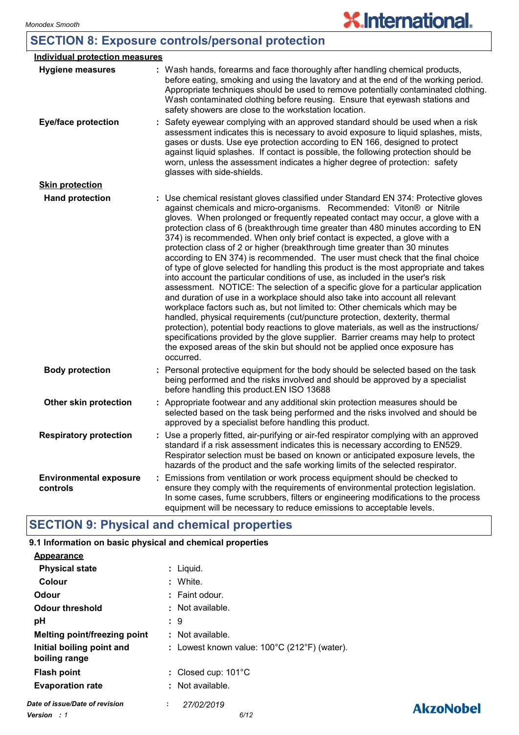# **SECTION 8: Exposure controls/personal protection**

| <b>Individual protection measures</b>     |                                                                                                                                                                                                                                                                                                                                                                                                                                                                                                                                                                                                                                                                                                                                                                                                                                                                                                                                                                                                                                                                                                                                                                                                                                                                                                                                                                          |
|-------------------------------------------|--------------------------------------------------------------------------------------------------------------------------------------------------------------------------------------------------------------------------------------------------------------------------------------------------------------------------------------------------------------------------------------------------------------------------------------------------------------------------------------------------------------------------------------------------------------------------------------------------------------------------------------------------------------------------------------------------------------------------------------------------------------------------------------------------------------------------------------------------------------------------------------------------------------------------------------------------------------------------------------------------------------------------------------------------------------------------------------------------------------------------------------------------------------------------------------------------------------------------------------------------------------------------------------------------------------------------------------------------------------------------|
| <b>Hygiene measures</b>                   | : Wash hands, forearms and face thoroughly after handling chemical products,<br>before eating, smoking and using the lavatory and at the end of the working period.<br>Appropriate techniques should be used to remove potentially contaminated clothing.<br>Wash contaminated clothing before reusing. Ensure that eyewash stations and<br>safety showers are close to the workstation location.                                                                                                                                                                                                                                                                                                                                                                                                                                                                                                                                                                                                                                                                                                                                                                                                                                                                                                                                                                        |
| <b>Eye/face protection</b>                | : Safety eyewear complying with an approved standard should be used when a risk<br>assessment indicates this is necessary to avoid exposure to liquid splashes, mists,<br>gases or dusts. Use eye protection according to EN 166, designed to protect<br>against liquid splashes. If contact is possible, the following protection should be<br>worn, unless the assessment indicates a higher degree of protection: safety<br>glasses with side-shields.                                                                                                                                                                                                                                                                                                                                                                                                                                                                                                                                                                                                                                                                                                                                                                                                                                                                                                                |
| <b>Skin protection</b>                    |                                                                                                                                                                                                                                                                                                                                                                                                                                                                                                                                                                                                                                                                                                                                                                                                                                                                                                                                                                                                                                                                                                                                                                                                                                                                                                                                                                          |
| <b>Hand protection</b>                    | : Use chemical resistant gloves classified under Standard EN 374: Protective gloves<br>against chemicals and micro-organisms. Recommended: Viton® or Nitrile<br>gloves. When prolonged or frequently repeated contact may occur, a glove with a<br>protection class of 6 (breakthrough time greater than 480 minutes according to EN<br>374) is recommended. When only brief contact is expected, a glove with a<br>protection class of 2 or higher (breakthrough time greater than 30 minutes<br>according to EN 374) is recommended. The user must check that the final choice<br>of type of glove selected for handling this product is the most appropriate and takes<br>into account the particular conditions of use, as included in the user's risk<br>assessment. NOTICE: The selection of a specific glove for a particular application<br>and duration of use in a workplace should also take into account all relevant<br>workplace factors such as, but not limited to: Other chemicals which may be<br>handled, physical requirements (cut/puncture protection, dexterity, thermal<br>protection), potential body reactions to glove materials, as well as the instructions/<br>specifications provided by the glove supplier. Barrier creams may help to protect<br>the exposed areas of the skin but should not be applied once exposure has<br>occurred. |
| <b>Body protection</b>                    | Personal protective equipment for the body should be selected based on the task<br>being performed and the risks involved and should be approved by a specialist<br>before handling this product.EN ISO 13688                                                                                                                                                                                                                                                                                                                                                                                                                                                                                                                                                                                                                                                                                                                                                                                                                                                                                                                                                                                                                                                                                                                                                            |
| Other skin protection                     | : Appropriate footwear and any additional skin protection measures should be<br>selected based on the task being performed and the risks involved and should be<br>approved by a specialist before handling this product.                                                                                                                                                                                                                                                                                                                                                                                                                                                                                                                                                                                                                                                                                                                                                                                                                                                                                                                                                                                                                                                                                                                                                |
| <b>Respiratory protection</b>             | : Use a properly fitted, air-purifying or air-fed respirator complying with an approved<br>standard if a risk assessment indicates this is necessary according to EN529.<br>Respirator selection must be based on known or anticipated exposure levels, the<br>hazards of the product and the safe working limits of the selected respirator.                                                                                                                                                                                                                                                                                                                                                                                                                                                                                                                                                                                                                                                                                                                                                                                                                                                                                                                                                                                                                            |
| <b>Environmental exposure</b><br>controls | Emissions from ventilation or work process equipment should be checked to<br>ensure they comply with the requirements of environmental protection legislation.<br>In some cases, fume scrubbers, filters or engineering modifications to the process<br>equipment will be necessary to reduce emissions to acceptable levels.                                                                                                                                                                                                                                                                                                                                                                                                                                                                                                                                                                                                                                                                                                                                                                                                                                                                                                                                                                                                                                            |

# **SECTION 9: Physical and chemical properties**

### **9.1 Information on basic physical and chemical properties**

| <b>Appearance</b>                          |                                                                   |
|--------------------------------------------|-------------------------------------------------------------------|
| <b>Physical state</b>                      | : Liguid.                                                         |
| Colour                                     | : White.                                                          |
| Odour                                      | $:$ Faint odour.                                                  |
| <b>Odour threshold</b>                     | : Not available.                                                  |
| рH                                         | : 9                                                               |
| <b>Melting point/freezing point</b>        | : Not available.                                                  |
| Initial boiling point and<br>boiling range | : Lowest known value: $100^{\circ}$ C (212 $^{\circ}$ F) (water). |
| <b>Flash point</b>                         | : Closed cup: $101^{\circ}$ C                                     |
| <b>Evaporation rate</b>                    | : Not available.                                                  |
| Date of issue/Date of revision             | 27/02/2019<br>÷.                                                  |
| <b>Version</b> : 1                         | 6/12                                                              |

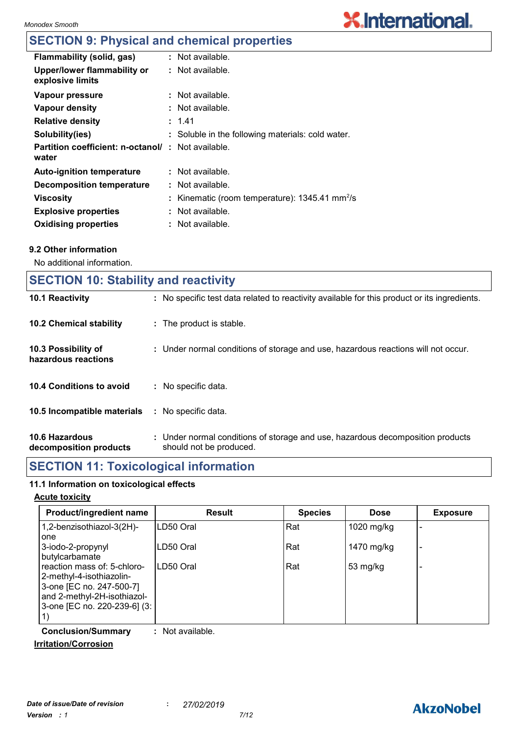# **X.International.**

# **SECTION 9: Physical and chemical properties**

| Flammability (solid, gas)                                         | : Not available.                                             |
|-------------------------------------------------------------------|--------------------------------------------------------------|
| Upper/lower flammability or<br>explosive limits                   | $:$ Not available.                                           |
| Vapour pressure                                                   | $:$ Not available.                                           |
| Vapour density                                                    | $:$ Not available.                                           |
| <b>Relative density</b>                                           | : 1.41                                                       |
| Solubility(ies)                                                   | : Soluble in the following materials: cold water.            |
| <b>Partition coefficient: n-octanol/: Not available.</b><br>water |                                                              |
| <b>Auto-ignition temperature</b>                                  | : Not available.                                             |
| <b>Decomposition temperature</b>                                  | : Not available.                                             |
| <b>Viscosity</b>                                                  | : Kinematic (room temperature): $1345.41$ mm <sup>2</sup> /s |
| <b>Explosive properties</b>                                       | : Not available.                                             |
| <b>Oxidising properties</b>                                       | : Not available.                                             |

#### **9.2 Other information**

No additional information.

| <b>SECTION 10: Stability and reactivity</b> |                                                                                                           |  |  |  |
|---------------------------------------------|-----------------------------------------------------------------------------------------------------------|--|--|--|
| 10.1 Reactivity                             | : No specific test data related to reactivity available for this product or its ingredients.              |  |  |  |
| <b>10.2 Chemical stability</b>              | : The product is stable.                                                                                  |  |  |  |
| 10.3 Possibility of<br>hazardous reactions  | : Under normal conditions of storage and use, hazardous reactions will not occur.                         |  |  |  |
| 10.4 Conditions to avoid                    | : No specific data.                                                                                       |  |  |  |
| 10.5 Incompatible materials                 | : No specific data.                                                                                       |  |  |  |
| 10.6 Hazardous<br>decomposition products    | : Under normal conditions of storage and use, hazardous decomposition products<br>should not be produced. |  |  |  |
|                                             |                                                                                                           |  |  |  |

### **SECTION 11: Toxicological information**

#### **11.1 Information on toxicological effects**

#### **Acute toxicity**

| Product/ingredient name                                                                                                                            | <b>Result</b> | <b>Species</b> | <b>Dose</b> | <b>Exposure</b>          |
|----------------------------------------------------------------------------------------------------------------------------------------------------|---------------|----------------|-------------|--------------------------|
| 1,2-benzisothiazol-3(2H)-<br>one                                                                                                                   | LD50 Oral     | Rat            | 1020 mg/kg  |                          |
| 3-iodo-2-propynyl<br>butylcarbamate                                                                                                                | LD50 Oral     | Rat            | 1470 mg/kg  | $\overline{\phantom{0}}$ |
| reaction mass of: 5-chloro-<br>2-methyl-4-isothiazolin-<br>3-one [EC no. 247-500-7]<br>and 2-methyl-2H-isothiazol-<br>3-one [EC no. 220-239-6] (3: | LD50 Oral     | Rat            | 53 mg/kg    |                          |

**Conclusion/Summary :** Not available.

#### **Irritation/Corrosion**

### **AkzoNobel**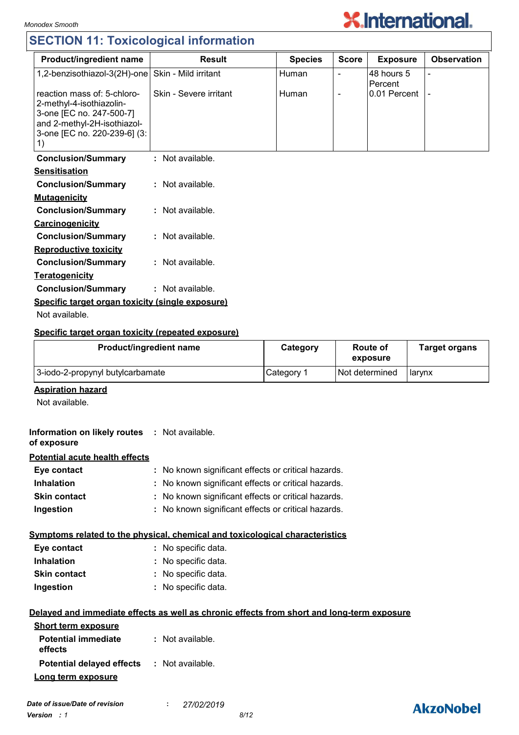# **SECTION 11: Toxicological information**



| <b>Product/ingredient name</b>                                                                                                                           | <b>Result</b>          | <b>Species</b> | <b>Score</b>             | <b>Exposure</b>       | <b>Observation</b> |
|----------------------------------------------------------------------------------------------------------------------------------------------------------|------------------------|----------------|--------------------------|-----------------------|--------------------|
| 1,2-benzisothiazol-3(2H)-one                                                                                                                             | Skin - Mild irritant   | Human          |                          | 48 hours 5<br>Percent |                    |
| reaction mass of: 5-chloro-<br>2-methyl-4-isothiazolin-<br>3-one [EC no. 247-500-7]<br>and 2-methyl-2H-isothiazol-<br>3-one [EC no. 220-239-6] (3:<br>1) | Skin - Severe irritant | Human          | $\overline{\phantom{0}}$ | 0.01 Percent          |                    |
| <b>Conclusion/Summary</b>                                                                                                                                | : Not available.       |                |                          |                       |                    |
| <b>Sensitisation</b>                                                                                                                                     |                        |                |                          |                       |                    |
| <b>Conclusion/Summary</b>                                                                                                                                | : Not available.       |                |                          |                       |                    |
| <b>Mutagenicity</b>                                                                                                                                      |                        |                |                          |                       |                    |
| <b>Conclusion/Summary</b>                                                                                                                                | : Not available.       |                |                          |                       |                    |
| Carcinogenicity                                                                                                                                          |                        |                |                          |                       |                    |
| <b>Conclusion/Summary</b>                                                                                                                                | : Not available.       |                |                          |                       |                    |
| <b>Reproductive toxicity</b>                                                                                                                             |                        |                |                          |                       |                    |
| <b>Conclusion/Summary</b>                                                                                                                                | : Not available.       |                |                          |                       |                    |
| <b>Teratogenicity</b>                                                                                                                                    |                        |                |                          |                       |                    |

**Conclusion/Summary :** Not available. **Specific target organ toxicity (single exposure)**

Not available.

#### **Specific target organ toxicity (repeated exposure)**

| Product/ingredient name          | Category              | <b>Route of</b><br>exposure | <b>Target organs</b> |
|----------------------------------|-----------------------|-----------------------------|----------------------|
| 3-iodo-2-propynyl butylcarbamate | Category <sup>1</sup> | Not determined              | larvnx               |

#### **Aspiration hazard**

Not available.

| Information on likely routes : Not available.<br>of exposure |                                                                              |
|--------------------------------------------------------------|------------------------------------------------------------------------------|
| Potential acute health effects                               |                                                                              |
| Eye contact                                                  | : No known significant effects or critical hazards.                          |
| <b>Inhalation</b>                                            | : No known significant effects or critical hazards.                          |
| <b>Skin contact</b>                                          | : No known significant effects or critical hazards.                          |
| Ingestion                                                    | : No known significant effects or critical hazards.                          |
|                                                              | Symptoms related to the physical, chemical and toxicological characteristics |
| Eye contact                                                  | : No specific data.                                                          |
| <b>Inhalation</b>                                            | : No specific data.                                                          |
| <b>Skin contact</b>                                          | : No specific data.                                                          |
| Ingestion                                                    | : No specific data.                                                          |

#### **Delayed and immediate effects as well as chronic effects from short and long-term exposure**

| <b>Short term exposure</b>                        |                  |
|---------------------------------------------------|------------------|
| <b>Potential immediate</b><br>effects             | : Not available. |
| <b>Potential delayed effects : Not available.</b> |                  |
| Long term exposure                                |                  |

### **AkzoNobel**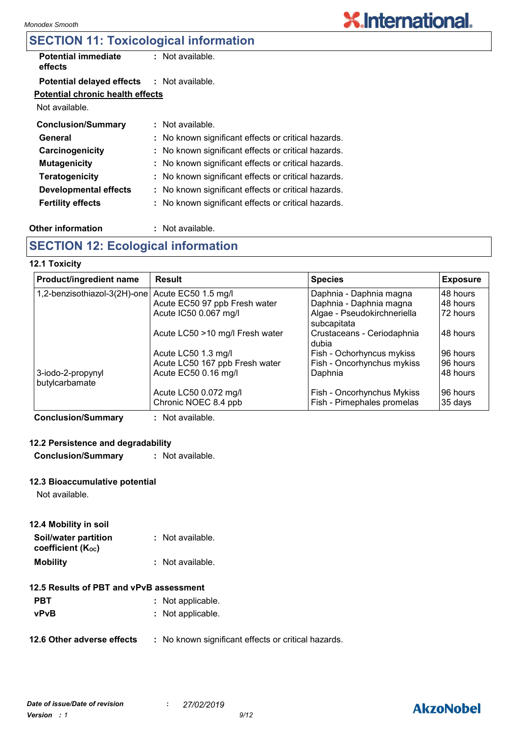## **SECTION 11: Toxicological information**

| <b>Potential immediate</b><br>effects             | $:$ Not available.                                  |
|---------------------------------------------------|-----------------------------------------------------|
| <b>Potential delayed effects : Not available.</b> |                                                     |
| Potential chronic health effects                  |                                                     |
| Not available.                                    |                                                     |
| <b>Conclusion/Summary</b>                         | $:$ Not available.                                  |
| General                                           | : No known significant effects or critical hazards. |
| Carcinogenicity                                   | : No known significant effects or critical hazards. |
| <b>Mutagenicity</b>                               | : No known significant effects or critical hazards. |
| <b>Teratogenicity</b>                             | : No known significant effects or critical hazards. |
| Developmental effects                             | : No known significant effects or critical hazards. |
| <b>Fertility effects</b>                          | : No known significant effects or critical hazards. |

#### **Other information :**

: Not available.

### **SECTION 12: Ecological information**

#### **12.1 Toxicity**

| Product/ingredient name                          | Result                          | <b>Species</b>              | <b>Exposure</b> |
|--------------------------------------------------|---------------------------------|-----------------------------|-----------------|
| 1,2-benzisothiazol-3(2H)-one Acute EC50 1.5 mg/l |                                 | Daphnia - Daphnia magna     | 48 hours        |
|                                                  | Acute EC50 97 ppb Fresh water   | Daphnia - Daphnia magna     | 48 hours        |
|                                                  | Acute IC50 0.067 mg/l           | Algae - Pseudokirchneriella | 72 hours        |
|                                                  |                                 | subcapitata                 |                 |
|                                                  | Acute LC50 >10 mg/l Fresh water | Crustaceans - Ceriodaphnia  | 148 hours       |
|                                                  |                                 | dubia                       |                 |
|                                                  | Acute LC50 1.3 mg/l             | Fish - Ochorhyncus mykiss   | 96 hours        |
|                                                  | Acute LC50 167 ppb Fresh water  | Fish - Oncorhynchus mykiss  | 196 hours       |
| 3-iodo-2-propynyl<br>butylcarbamate              | Acute EC50 0.16 mg/l            | Daphnia                     | 48 hours        |
|                                                  | Acute LC50 0.072 mg/l           | Fish - Oncorhynchus Mykiss  | 196 hours       |
|                                                  | Chronic NOEC 8.4 ppb            | Fish - Pimephales promelas  | 35 days         |

**Conclusion/Summary :** Not available.

#### **12.2 Persistence and degradability**

**Conclusion/Summary :** Not available.

#### **12.3 Bioaccumulative potential**

Not available.

#### **12.4 Mobility in soil**

| Soil/water partition   | : Not available.   |
|------------------------|--------------------|
| coefficient $(K_{oc})$ |                    |
| <b>Mobility</b>        | $:$ Not available. |

#### **12.5 Results of PBT and vPvB assessment**

- **PBT** : Not applicable.
- **vPvB :** Not applicable.
- **12.6 Other adverse effects** : No known significant effects or critical hazards.

# **AkzoNobel**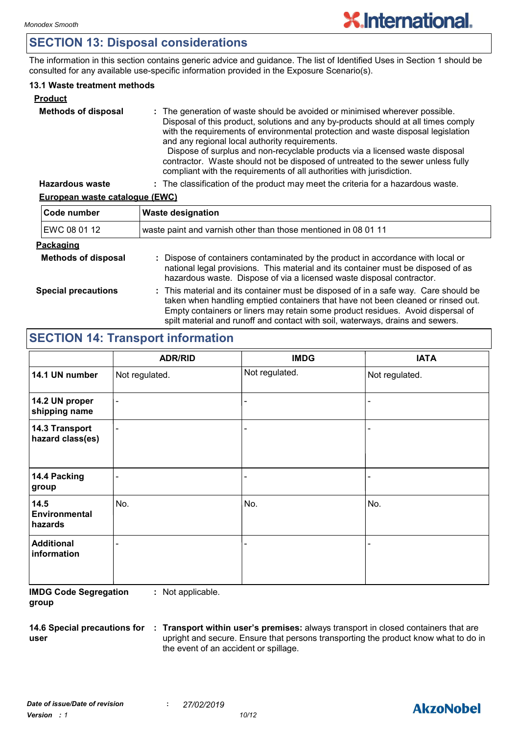### **SECTION 13: Disposal considerations**

The information in this section contains generic advice and guidance. The list of Identified Uses in Section 1 should be consulted for any available use-specific information provided in the Exposure Scenario(s).

#### **13.1 Waste treatment methods**

| <b>Product</b>             |                                                                                                                                                                                                                                                                                                                                                                                                                                                                                                                                                     |
|----------------------------|-----------------------------------------------------------------------------------------------------------------------------------------------------------------------------------------------------------------------------------------------------------------------------------------------------------------------------------------------------------------------------------------------------------------------------------------------------------------------------------------------------------------------------------------------------|
| <b>Methods of disposal</b> | : The generation of waste should be avoided or minimised wherever possible.<br>Disposal of this product, solutions and any by-products should at all times comply<br>with the requirements of environmental protection and waste disposal legislation<br>and any regional local authority requirements.<br>Dispose of surplus and non-recyclable products via a licensed waste disposal<br>contractor. Waste should not be disposed of untreated to the sewer unless fully<br>compliant with the requirements of all authorities with jurisdiction. |
| <b>Hazardous waste</b>     | : The classification of the product may meet the criteria for a hazardous waste.                                                                                                                                                                                                                                                                                                                                                                                                                                                                    |

#### **European waste catalogue (EWC)**

| Code number                | <b>Waste designation</b>                                                                                                                                                                                                                                                                                                                     |  |
|----------------------------|----------------------------------------------------------------------------------------------------------------------------------------------------------------------------------------------------------------------------------------------------------------------------------------------------------------------------------------------|--|
| EWC 08 01 12               | waste paint and varnish other than those mentioned in 08 01 11                                                                                                                                                                                                                                                                               |  |
| <b>Packaging</b>           |                                                                                                                                                                                                                                                                                                                                              |  |
| <b>Methods of disposal</b> | : Dispose of containers contaminated by the product in accordance with local or<br>national legal provisions. This material and its container must be disposed of as<br>hazardous waste. Dispose of via a licensed waste disposal contractor.                                                                                                |  |
| <b>Special precautions</b> | : This material and its container must be disposed of in a safe way. Care should be<br>taken when handling emptied containers that have not been cleaned or rinsed out.<br>Empty containers or liners may retain some product residues. Avoid dispersal of<br>spilt material and runoff and contact with soil, waterways, drains and sewers. |  |

### **SECTION 14: Transport information**

|                                         | <b>ADR/RID</b>           | <b>IMDG</b>    | <b>IATA</b>    |
|-----------------------------------------|--------------------------|----------------|----------------|
| 14.1 UN number                          | Not regulated.           | Not regulated. | Not regulated. |
| 14.2 UN proper<br>shipping name         | $\overline{\phantom{a}}$ |                |                |
| 14.3 Transport<br>hazard class(es)      | $\blacksquare$           |                |                |
| 14.4 Packing<br>group                   | $\overline{\phantom{a}}$ |                |                |
| 14.5<br><b>Environmental</b><br>hazards | No.                      | No.            | No.            |
| <b>Additional</b><br>information        |                          |                |                |

**IMDG Code Segregation group :** Not applicable.

**14.6 Special precautions for user**

**Transport within user's premises:** always transport in closed containers that are **:** upright and secure. Ensure that persons transporting the product know what to do in the event of an accident or spillage.

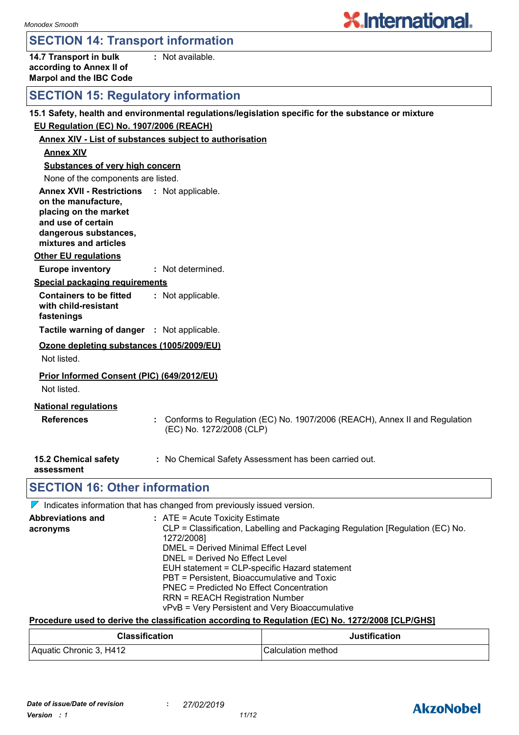### **SECTION 14: Transport information**

**14.7 Transport in bulk according to Annex II of Marpol and the IBC Code :** Not available.

### **SECTION 15: Regulatory information**

|                                                                                                                                                                            | 15.1 Safety, health and environmental regulations/legislation specific for the substance or mixture      |  |  |
|----------------------------------------------------------------------------------------------------------------------------------------------------------------------------|----------------------------------------------------------------------------------------------------------|--|--|
| EU Regulation (EC) No. 1907/2006 (REACH)                                                                                                                                   |                                                                                                          |  |  |
| <b>Annex XIV - List of substances subject to authorisation</b>                                                                                                             |                                                                                                          |  |  |
| <b>Annex XIV</b>                                                                                                                                                           |                                                                                                          |  |  |
| <b>Substances of very high concern</b>                                                                                                                                     |                                                                                                          |  |  |
| None of the components are listed.                                                                                                                                         |                                                                                                          |  |  |
| <b>Annex XVII - Restrictions : Not applicable.</b><br>on the manufacture,<br>placing on the market<br>and use of certain<br>dangerous substances,<br>mixtures and articles |                                                                                                          |  |  |
| <b>Other EU regulations</b>                                                                                                                                                |                                                                                                          |  |  |
| <b>Europe inventory</b>                                                                                                                                                    | : Not determined.                                                                                        |  |  |
| <b>Special packaging requirements</b>                                                                                                                                      |                                                                                                          |  |  |
| <b>Containers to be fitted</b><br>with child-resistant<br>fastenings                                                                                                       | : Not applicable.                                                                                        |  |  |
| Tactile warning of danger : Not applicable.                                                                                                                                |                                                                                                          |  |  |
| Ozone depleting substances (1005/2009/EU)<br>Not listed.                                                                                                                   |                                                                                                          |  |  |
| Prior Informed Consent (PIC) (649/2012/EU)<br>Not listed.                                                                                                                  |                                                                                                          |  |  |
| <b>National regulations</b><br><b>References</b>                                                                                                                           | : Conforms to Regulation (EC) No. 1907/2006 (REACH), Annex II and Regulation<br>(EC) No. 1272/2008 (CLP) |  |  |
| 15.2 Chemical safety<br>assessment                                                                                                                                         | : No Chemical Safety Assessment has been carried out.                                                    |  |  |
| <b>SECTION 16: Other information</b>                                                                                                                                       |                                                                                                          |  |  |

 $\nabla$  $\dot{I}$  Indicates information that has changed from previously issued version.

| <b>Abbreviations and</b><br>acronyms | $:$ ATE = Acute Toxicity Estimate<br>CLP = Classification, Labelling and Packaging Regulation [Regulation (EC) No.<br>1272/2008]<br>DMEL = Derived Minimal Effect Level<br>DNEL = Derived No Effect Level<br>EUH statement = CLP-specific Hazard statement<br>PBT = Persistent, Bioaccumulative and Toxic<br>PNEC = Predicted No Effect Concentration<br><b>RRN = REACH Registration Number</b> |
|--------------------------------------|-------------------------------------------------------------------------------------------------------------------------------------------------------------------------------------------------------------------------------------------------------------------------------------------------------------------------------------------------------------------------------------------------|
|                                      | vPvB = Very Persistent and Very Bioaccumulative                                                                                                                                                                                                                                                                                                                                                 |

#### **Procedure used to derive the classification according to Regulation (EC) No. 1272/2008 [CLP/GHS]**

| <b>Classification</b>   | <b>Justification</b> |
|-------------------------|----------------------|
| Aquatic Chronic 3, H412 | ICalculation method  |

# **AkzoNobel**